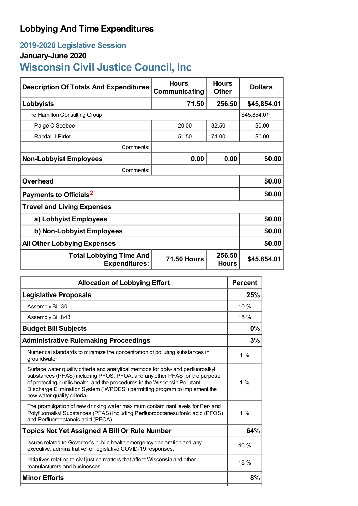## **Lobbying And Time Expenditures**

### **2019-2020 Legislative Session**

### **January-June 2020**

# **Wisconsin Civil Justice Council, Inc**

| <b>Description Of Totals And Expenditures</b>          | <b>Hours</b><br>Communicating | <b>Hours</b><br><b>Other</b> | <b>Dollars</b> |  |  |
|--------------------------------------------------------|-------------------------------|------------------------------|----------------|--|--|
| Lobbyists                                              | 71.50                         | 256.50                       | \$45,854.01    |  |  |
| The Hamilton Consulting Group                          |                               |                              | \$45,854.01    |  |  |
| Paige C Scobee                                         | 20.00                         | 82.50                        | \$0.00         |  |  |
| Randall J Pirlot                                       | 51.50                         | 174.00                       | \$0.00         |  |  |
| Comments:                                              |                               |                              |                |  |  |
| <b>Non-Lobbyist Employees</b>                          | 0.00                          | 0.00                         | \$0.00         |  |  |
| Comments:                                              |                               |                              |                |  |  |
| <b>Overhead</b>                                        |                               |                              | \$0.00         |  |  |
| Payments to Officials <sup>2</sup>                     | \$0.00                        |                              |                |  |  |
| <b>Travel and Living Expenses</b>                      |                               |                              |                |  |  |
| a) Lobbyist Employees                                  | \$0.00                        |                              |                |  |  |
| b) Non-Lobbyist Employees                              |                               |                              | \$0.00         |  |  |
| <b>All Other Lobbying Expenses</b>                     |                               |                              | \$0.00         |  |  |
| <b>Total Lobbying Time And</b><br><b>Expenditures:</b> | <b>71.50 Hours</b>            | 256.50<br><b>Hours</b>       | \$45,854.01    |  |  |

| <b>Allocation of Lobbying Effort</b>                                                                                                                                                                                                                                                                                                                       |       |
|------------------------------------------------------------------------------------------------------------------------------------------------------------------------------------------------------------------------------------------------------------------------------------------------------------------------------------------------------------|-------|
| <b>Legislative Proposals</b>                                                                                                                                                                                                                                                                                                                               | 25%   |
| Assembly Bill 30                                                                                                                                                                                                                                                                                                                                           | 10%   |
| Assembly Bill 843                                                                                                                                                                                                                                                                                                                                          | 15%   |
| <b>Budget Bill Subjects</b>                                                                                                                                                                                                                                                                                                                                | 0%    |
| <b>Administrative Rulemaking Proceedings</b>                                                                                                                                                                                                                                                                                                               | 3%    |
| Numerical standards to minimize the concentration of polluting substances in<br>groundwater                                                                                                                                                                                                                                                                | $1\%$ |
| Surface water quality criteria and analytical methods for poly- and perfluoroalkyl<br>substances (PFAS) including PFOS, PFOA, and any other PFAS for the purpose<br>of protecting public health, and the procedures in the Wisconsin Pollutant<br>Discharge Elimination System ("WPDES") permitting program to implement the<br>new water quality criteria | $1\%$ |
| The promulgation of new drinking water maximum contaminant levels for Per- and<br>Polyfluoroalkyl Substances (PFAS) including Perfluorooctanesulfonic acid (PFOS)<br>and Perfluorooctanoic acid (PFOA)                                                                                                                                                     | $1\%$ |
| <b>Topics Not Yet Assigned A Bill Or Rule Number</b>                                                                                                                                                                                                                                                                                                       | 64%   |
| Issues related to Governor's public health emergency declaration and any<br>executive, adminsitrative, or legislative COVID-19 responses.                                                                                                                                                                                                                  |       |
| Initiatives relating to civil justice matters that affect Wisconsin and other<br>manufacturers and businesses.                                                                                                                                                                                                                                             | 18%   |
| <b>Minor Efforts</b>                                                                                                                                                                                                                                                                                                                                       | 8%    |